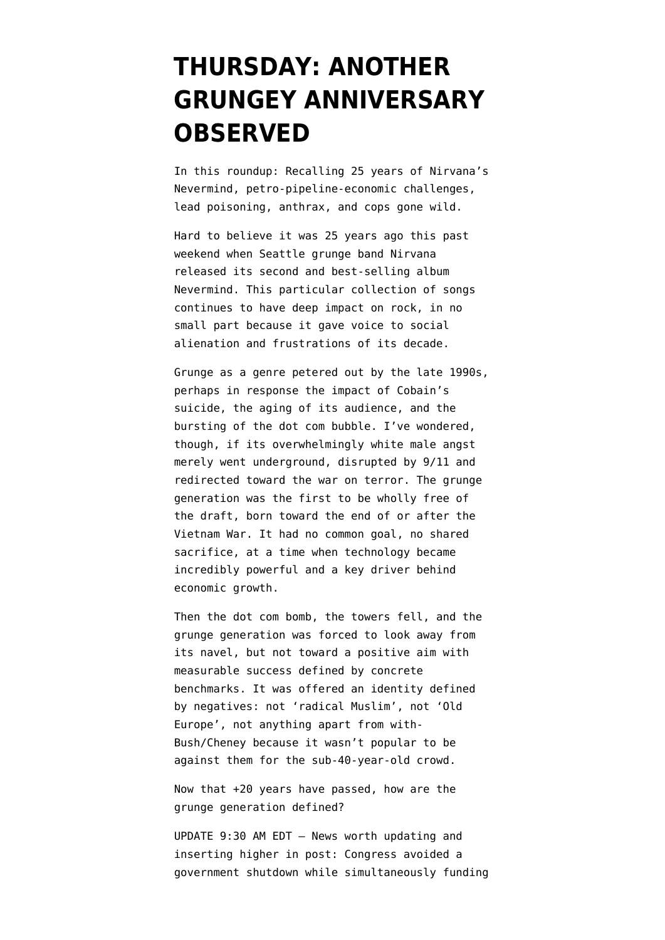## **[THURSDAY: ANOTHER](https://www.emptywheel.net/2016/09/29/thursday-another-grungey-anniversary-observed/) [GRUNGEY ANNIVERSARY](https://www.emptywheel.net/2016/09/29/thursday-another-grungey-anniversary-observed/) [OBSERVED](https://www.emptywheel.net/2016/09/29/thursday-another-grungey-anniversary-observed/)**

In this roundup: Recalling 25 years of Nirvana's Nevermind, petro-pipeline-economic challenges, lead poisoning, anthrax, and cops gone wild.

Hard to believe it was [25 years ago this past](https://youtu.be/gKg9xT3bZ7o) [weekend](https://youtu.be/gKg9xT3bZ7o) when Seattle grunge band Nirvana released its second and best-selling album Nevermind. This particular collection of songs continues to have deep impact on rock, in no small part because it gave voice to social alienation and frustrations of its decade.

Grunge as a genre petered out by the late 1990s, perhaps in response the impact of Cobain's suicide, the aging of its audience, and the bursting of the dot com bubble. I've wondered, though, if its overwhelmingly white male angst merely went underground, disrupted by 9/11 and redirected toward the war on terror. The grunge generation was the first to be wholly free of the draft, born toward the end of or after the Vietnam War. It had no common goal, no shared sacrifice, at a time when technology became incredibly powerful and a key driver behind economic growth.

Then the dot com bomb, the towers fell, and the grunge generation was forced to look away from its navel, but not toward a positive aim with measurable success defined by concrete benchmarks. It was offered an identity defined by negatives: not 'radical Muslim', not 'Old Europe', not anything apart from with-Bush/Cheney because it wasn't popular to be against them for the sub-40-year-old crowd.

Now that +20 years have passed, how are the grunge generation defined?

UPDATE 9:30 AM EDT — News worth updating and inserting higher in post: Congress avoided a government shutdown while simultaneously funding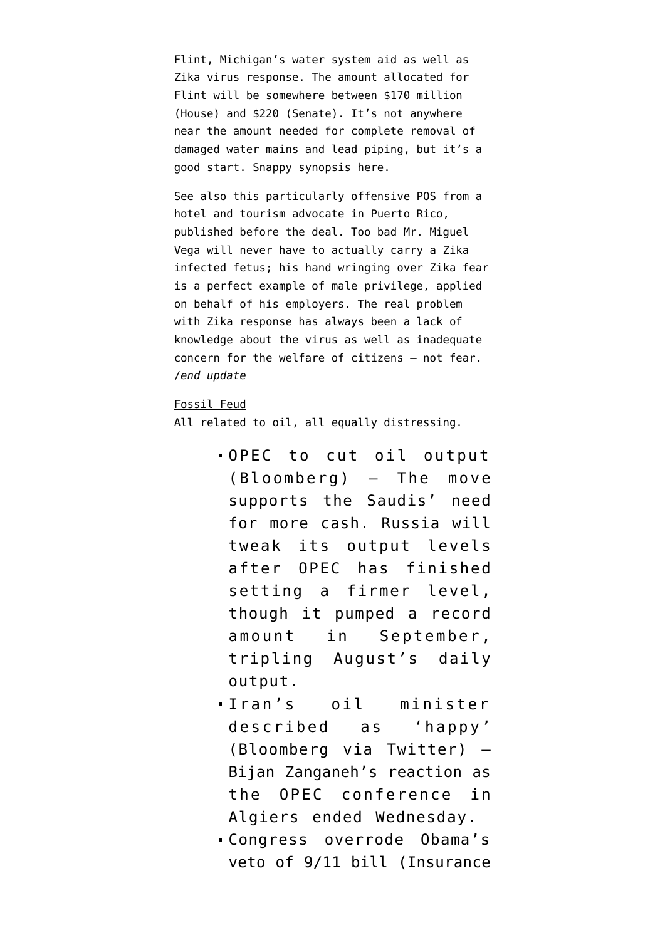Flint, Michigan's water system aid as well as Zika virus response. The amount allocated for Flint will be somewhere between \$170 million (House) and \$220 (Senate). It's not anywhere near the amount needed for complete removal of damaged water mains and lead piping, but it's a good start. [Snappy synopsis here.](http://www.graydc.com/content/news/Flint-water-deal-averts-government-shutdown-395200951.html)

See also this [particularly offensive POS](http://origin-nyi.thehill.com/opinion/letters/298387-stick-with-the-facts-not-fear-in-debate-over-funding-to-fight-zika) from a hotel and tourism advocate in Puerto Rico, published before the deal. Too bad Mr. Miguel Vega will never have to actually carry a Zika infected fetus; his hand wringing over Zika fear is a perfect example of male privilege, applied on behalf of his employers. The real problem with Zika response has always been a lack of knowledge about the virus as well as inadequate concern for the welfare of citizens — not fear. /*end update*

## Fossil Feud

All related to oil, all equally distressing.

- [OPEC to cut oil output](https://www.bloomberg.com/news/articles/2016-09-28/opec-said-to-agree-on-first-oil-output-cut-in-eight-years) (Bloomberg) — The move supports the Saudis' need for more cash. Russia will tweak its output levels after OPEC has finished setting a firmer level, though it pumped a record amount in September, tripling August's daily output.
- [Iran's oil minister](https://twitter.com/JavierBlas2/status/781224629209890816) [described as 'happy'](https://twitter.com/JavierBlas2/status/781224629209890816) (Bloomberg via Twitter) — Bijan Zanganeh's reaction as the OPEC conference in Algiers ended Wednesday.
- [Congress overrode Obama's](http://www.insurancejournal.com/news/national/2016/09/28/427746.htm) [veto of 9/11 bill](http://www.insurancejournal.com/news/national/2016/09/28/427746.htm) (Insurance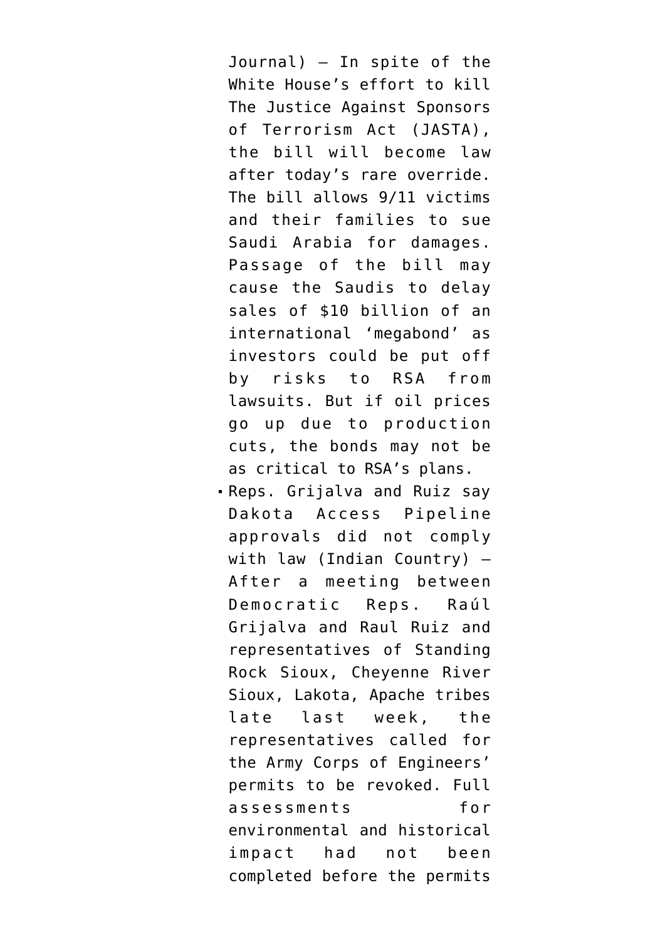Journal) — In spite of the White House's effort to kill The Justice Against Sponsors of Terrorism Act (JASTA), the bill will become law after today's rare override. The bill allows 9/11 victims and their families to sue Saudi Arabia for damages. Passage of the bill may cause the Saudis to delay sales of \$10 billion of an international 'megabond' as investors could be put off by risks to RSA from lawsuits. But if oil prices go up due to production cuts, the bonds may not be as critical to RSA's plans.

[Reps. Grijalva and Ruiz say](http://indiancountrytodaymedianetwork.com/2016/09/27/house-democrats-call-new-dapl-permitting-process-after-2-hour-forum-dc-165923) [Dakota Access Pipeline](http://indiancountrytodaymedianetwork.com/2016/09/27/house-democrats-call-new-dapl-permitting-process-after-2-hour-forum-dc-165923) [approvals did not comply](http://indiancountrytodaymedianetwork.com/2016/09/27/house-democrats-call-new-dapl-permitting-process-after-2-hour-forum-dc-165923) [with law](http://indiancountrytodaymedianetwork.com/2016/09/27/house-democrats-call-new-dapl-permitting-process-after-2-hour-forum-dc-165923) (Indian Country) — After a meeting between Democratic Reps. Raúl Grijalva and Raul Ruiz and representatives of Standing Rock Sioux, Cheyenne River Sioux, Lakota, Apache tribes late last week, the representatives called for the Army Corps of Engineers' permits to be revoked. Full assessments for environmental and historical impact had not been completed before the permits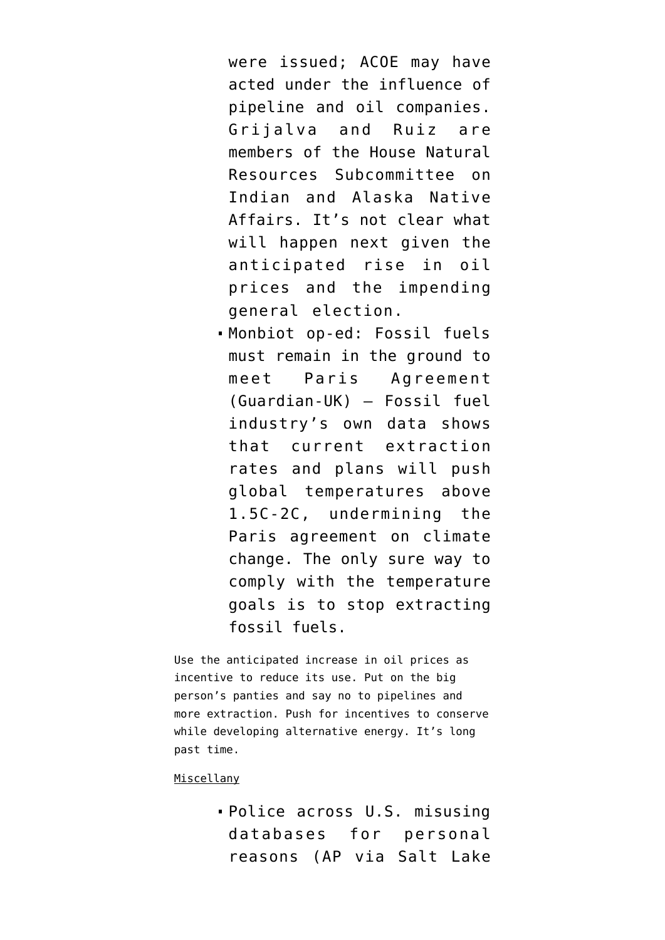were issued; ACOE may have acted under the influence of pipeline and oil companies. Grijalva and Ruiz are members of the House Natural Resources Subcommittee on Indian and Alaska Native Affairs. It's not clear what will happen next given the anticipated rise in oil prices and the impending general election.

[Monbiot op-ed: Fossil fuels](https://www.theguardian.com/commentisfree/2016/sep/27/fracking-digging-drilling-paris-agreement-fossil-fuels) [must remain in the ground to](https://www.theguardian.com/commentisfree/2016/sep/27/fracking-digging-drilling-paris-agreement-fossil-fuels) [meet Paris Agreement](https://www.theguardian.com/commentisfree/2016/sep/27/fracking-digging-drilling-paris-agreement-fossil-fuels) (Guardian-UK) — Fossil fuel industry's own data shows that current extraction rates and plans will push global temperatures above 1.5C-2C, undermining the Paris agreement on climate change. The only sure way to comply with the temperature goals is to stop extracting fossil fuels.

Use the anticipated increase in oil prices as incentive to reduce its use. Put on the big person's panties and say no to pipelines and more extraction. Push for incentives to conserve while developing alternative energy. It's long past time.

## Miscellany

[Police across U.S. misusing](http://www.sltrib.com/home/4407962-155/ap-across-us-police-officers-abuse) [databases for personal](http://www.sltrib.com/home/4407962-155/ap-across-us-police-officers-abuse) [reasons](http://www.sltrib.com/home/4407962-155/ap-across-us-police-officers-abuse) (AP via Salt Lake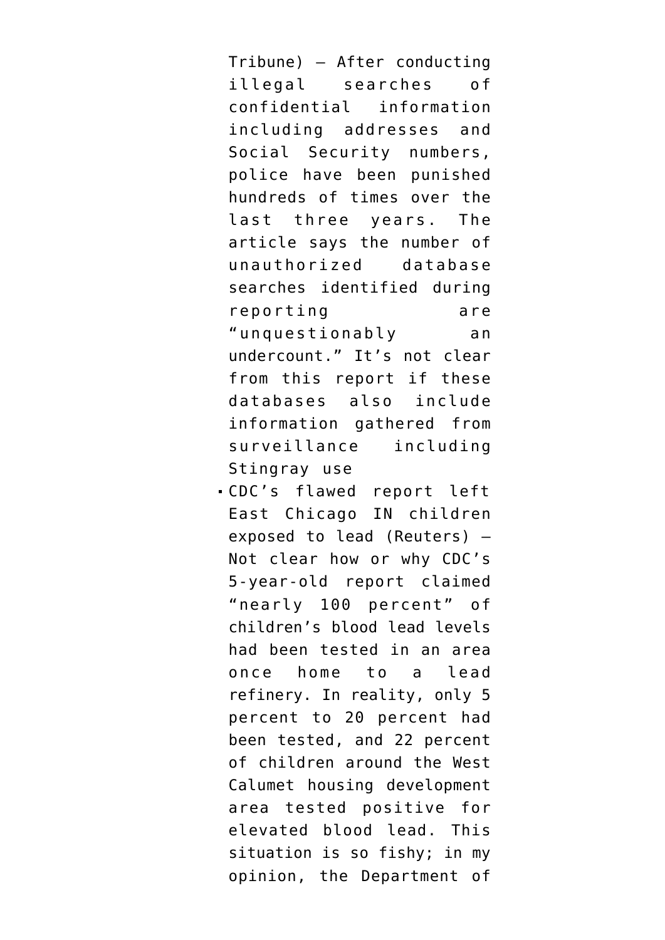Tribune) — After conducting illegal searches of confidential information including addresses and Social Security numbers, police have been punished hundreds of times over the last three years. The article says the number of unauthorized database searches identified during reporting are "unquestionably an undercount." It's not clear from this report if these databases also include information gathered from surveillance including Stingray use

[CDC's flawed report left](http://www.reuters.com/article/us-usa-pollution-report-specialreport-idUSKCN11Y1BH) [East Chicago IN children](http://www.reuters.com/article/us-usa-pollution-report-specialreport-idUSKCN11Y1BH) [exposed to lead](http://www.reuters.com/article/us-usa-pollution-report-specialreport-idUSKCN11Y1BH) (Reuters) — Not clear how or why CDC's 5-year-old report claimed "nearly 100 percent" of children's blood lead levels had been tested in an area once home to a lead refinery. In reality, only 5 percent to 20 percent had been tested, and 22 percent of children around the West Calumet housing development area tested positive for elevated blood lead. This situation is so fishy; in my opinion, the Department of